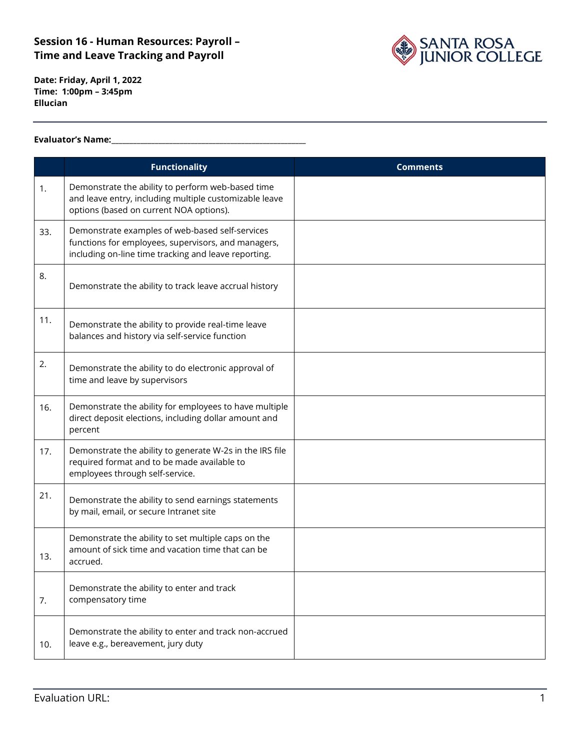

**Date: Friday, April 1, 2022 Time: 1:00pm – 3:45pm Ellucian**

#### **Evaluator's Name:\_\_\_\_\_\_\_\_\_\_\_\_\_\_\_\_\_\_\_\_\_\_\_\_\_\_\_\_\_\_\_\_\_\_\_\_\_\_\_\_\_\_\_\_\_\_\_\_\_\_\_\_\_\_**

|     | <b>Functionality</b>                                                                                                                                           | <b>Comments</b> |
|-----|----------------------------------------------------------------------------------------------------------------------------------------------------------------|-----------------|
| 1.  | Demonstrate the ability to perform web-based time<br>and leave entry, including multiple customizable leave<br>options (based on current NOA options).         |                 |
| 33. | Demonstrate examples of web-based self-services<br>functions for employees, supervisors, and managers,<br>including on-line time tracking and leave reporting. |                 |
| 8.  | Demonstrate the ability to track leave accrual history                                                                                                         |                 |
| 11. | Demonstrate the ability to provide real-time leave<br>balances and history via self-service function                                                           |                 |
| 2.  | Demonstrate the ability to do electronic approval of<br>time and leave by supervisors                                                                          |                 |
| 16. | Demonstrate the ability for employees to have multiple<br>direct deposit elections, including dollar amount and<br>percent                                     |                 |
| 17. | Demonstrate the ability to generate W-2s in the IRS file<br>required format and to be made available to<br>employees through self-service.                     |                 |
| 21. | Demonstrate the ability to send earnings statements<br>by mail, email, or secure Intranet site                                                                 |                 |
| 13. | Demonstrate the ability to set multiple caps on the<br>amount of sick time and vacation time that can be<br>accrued.                                           |                 |
| 7.  | Demonstrate the ability to enter and track<br>compensatory time                                                                                                |                 |
| 10. | Demonstrate the ability to enter and track non-accrued<br>leave e.g., bereavement, jury duty                                                                   |                 |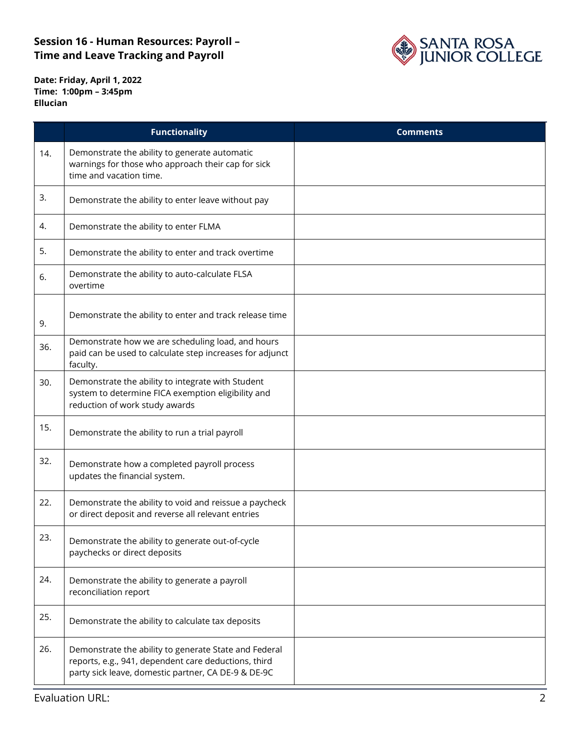

**Date: Friday, April 1, 2022 Time: 1:00pm – 3:45pm Ellucian**

|     | <b>Functionality</b>                                                                                                                                                 | <b>Comments</b> |
|-----|----------------------------------------------------------------------------------------------------------------------------------------------------------------------|-----------------|
| 14. | Demonstrate the ability to generate automatic<br>warnings for those who approach their cap for sick<br>time and vacation time.                                       |                 |
| 3.  | Demonstrate the ability to enter leave without pay                                                                                                                   |                 |
| 4.  | Demonstrate the ability to enter FLMA                                                                                                                                |                 |
| 5.  | Demonstrate the ability to enter and track overtime                                                                                                                  |                 |
| 6.  | Demonstrate the ability to auto-calculate FLSA<br>overtime                                                                                                           |                 |
| 9.  | Demonstrate the ability to enter and track release time                                                                                                              |                 |
| 36. | Demonstrate how we are scheduling load, and hours<br>paid can be used to calculate step increases for adjunct<br>faculty.                                            |                 |
| 30. | Demonstrate the ability to integrate with Student<br>system to determine FICA exemption eligibility and<br>reduction of work study awards                            |                 |
| 15. | Demonstrate the ability to run a trial payroll                                                                                                                       |                 |
| 32. | Demonstrate how a completed payroll process<br>updates the financial system.                                                                                         |                 |
| 22. | Demonstrate the ability to void and reissue a paycheck<br>or direct deposit and reverse all relevant entries                                                         |                 |
| 23. | Demonstrate the ability to generate out-of-cycle<br>paychecks or direct deposits                                                                                     |                 |
| 24. | Demonstrate the ability to generate a payroll<br>reconciliation report                                                                                               |                 |
| 25. | Demonstrate the ability to calculate tax deposits                                                                                                                    |                 |
| 26. | Demonstrate the ability to generate State and Federal<br>reports, e.g., 941, dependent care deductions, third<br>party sick leave, domestic partner, CA DE-9 & DE-9C |                 |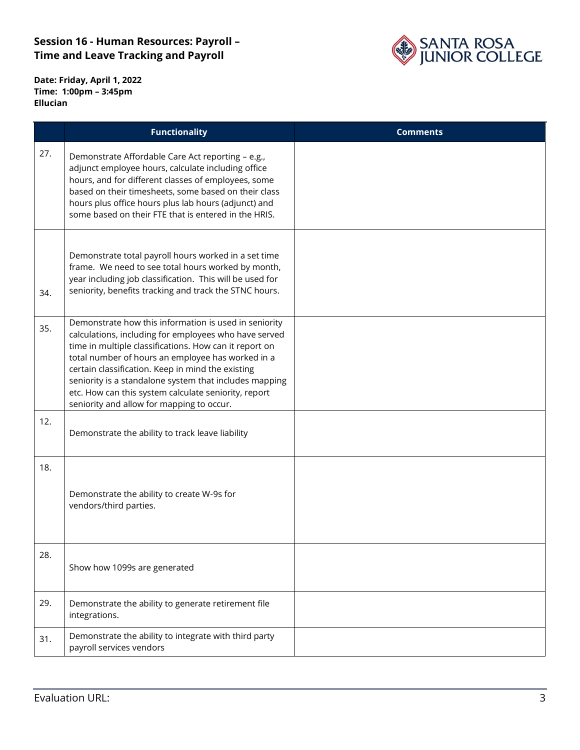

**Date: Friday, April 1, 2022 Time: 1:00pm – 3:45pm Ellucian**

|     | <b>Functionality</b>                                                                                                                                                                                                                                                                                                                                                                                                                              | <b>Comments</b> |
|-----|---------------------------------------------------------------------------------------------------------------------------------------------------------------------------------------------------------------------------------------------------------------------------------------------------------------------------------------------------------------------------------------------------------------------------------------------------|-----------------|
| 27. | Demonstrate Affordable Care Act reporting - e.g.,<br>adjunct employee hours, calculate including office<br>hours, and for different classes of employees, some<br>based on their timesheets, some based on their class<br>hours plus office hours plus lab hours (adjunct) and<br>some based on their FTE that is entered in the HRIS.                                                                                                            |                 |
| 34. | Demonstrate total payroll hours worked in a set time<br>frame. We need to see total hours worked by month,<br>year including job classification. This will be used for<br>seniority, benefits tracking and track the STNC hours.                                                                                                                                                                                                                  |                 |
| 35. | Demonstrate how this information is used in seniority<br>calculations, including for employees who have served<br>time in multiple classifications. How can it report on<br>total number of hours an employee has worked in a<br>certain classification. Keep in mind the existing<br>seniority is a standalone system that includes mapping<br>etc. How can this system calculate seniority, report<br>seniority and allow for mapping to occur. |                 |
| 12. | Demonstrate the ability to track leave liability                                                                                                                                                                                                                                                                                                                                                                                                  |                 |
| 18. | Demonstrate the ability to create W-9s for<br>vendors/third parties.                                                                                                                                                                                                                                                                                                                                                                              |                 |
| 28. | Show how 1099s are generated                                                                                                                                                                                                                                                                                                                                                                                                                      |                 |
| 29. | Demonstrate the ability to generate retirement file<br>integrations.                                                                                                                                                                                                                                                                                                                                                                              |                 |
| 31. | Demonstrate the ability to integrate with third party<br>payroll services vendors                                                                                                                                                                                                                                                                                                                                                                 |                 |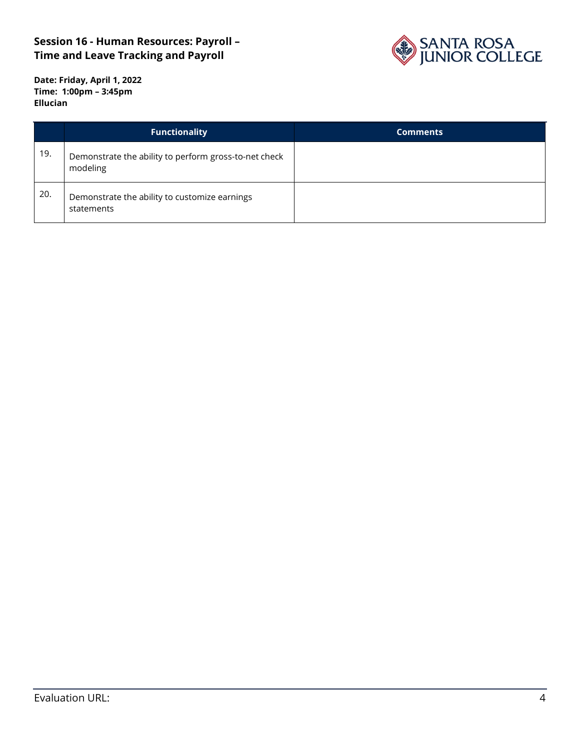

**Date: Friday, April 1, 2022 Time: 1:00pm – 3:45pm Ellucian**

|     | <b>Functionality</b>                                              | <b>Comments</b> |
|-----|-------------------------------------------------------------------|-----------------|
| 19. | Demonstrate the ability to perform gross-to-net check<br>modeling |                 |
| 20. | Demonstrate the ability to customize earnings<br>statements       |                 |